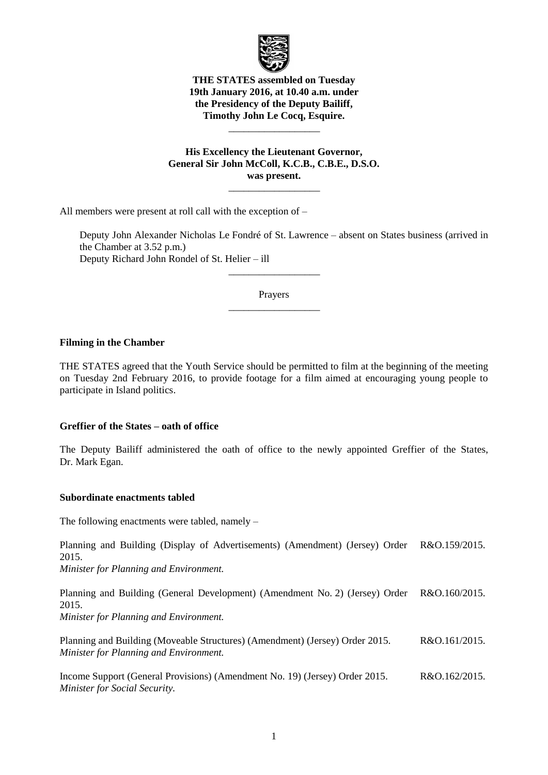

# **THE STATES assembled on Tuesday 19th January 2016, at 10.40 a.m. under the Presidency of the Deputy Bailiff, Timothy John Le Cocq, Esquire.**

\_\_\_\_\_\_\_\_\_\_\_\_\_\_\_\_\_\_

**His Excellency the Lieutenant Governor, General Sir John McColl, K.C.B., C.B.E., D.S.O. was present.**

 $\overline{\phantom{a}}$  , where  $\overline{\phantom{a}}$ 

All members were present at roll call with the exception of –

Deputy John Alexander Nicholas Le Fondré of St. Lawrence – absent on States business (arrived in the Chamber at 3.52 p.m.) Deputy Richard John Rondel of St. Helier – ill

> Prayers \_\_\_\_\_\_\_\_\_\_\_\_\_\_\_\_\_\_

> \_\_\_\_\_\_\_\_\_\_\_\_\_\_\_\_\_\_

### **Filming in the Chamber**

THE STATES agreed that the Youth Service should be permitted to film at the beginning of the meeting on Tuesday 2nd February 2016, to provide footage for a film aimed at encouraging young people to participate in Island politics.

### **Greffier of the States – oath of office**

The Deputy Bailiff administered the oath of office to the newly appointed Greffier of the States, Dr. Mark Egan.

### **Subordinate enactments tabled**

The following enactments were tabled, namely –

Planning and Building (Display of Advertisements) (Amendment) (Jersey) Order 2015. R&O.159/2015.

*Minister for Planning and Environment.*

Planning and Building (General Development) (Amendment No. 2) (Jersey) Order 2015. R&O.160/2015.

*Minister for Planning and Environment.*

Planning and Building (Moveable Structures) (Amendment) (Jersey) Order 2015. *Minister for Planning and Environment.* R&O.161/2015.

Income Support (General Provisions) (Amendment No. 19) (Jersey) Order 2015. *Minister for Social Security.* R&O.162/2015.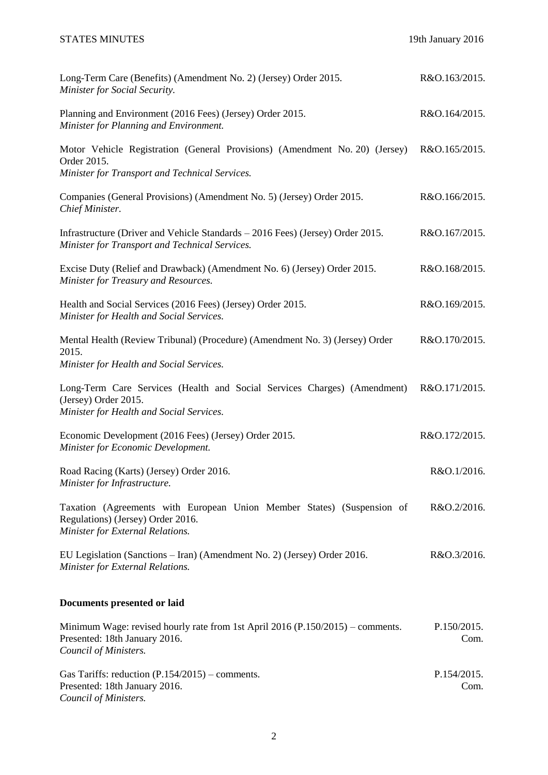| Long-Term Care (Benefits) (Amendment No. 2) (Jersey) Order 2015.<br>Minister for Social Security.                                               | R&O.163/2015.       |
|-------------------------------------------------------------------------------------------------------------------------------------------------|---------------------|
| Planning and Environment (2016 Fees) (Jersey) Order 2015.<br>Minister for Planning and Environment.                                             | R&O.164/2015.       |
| Motor Vehicle Registration (General Provisions) (Amendment No. 20) (Jersey)<br>Order 2015.<br>Minister for Transport and Technical Services.    | R&O.165/2015.       |
| Companies (General Provisions) (Amendment No. 5) (Jersey) Order 2015.<br>Chief Minister.                                                        | R&O.166/2015.       |
| Infrastructure (Driver and Vehicle Standards – 2016 Fees) (Jersey) Order 2015.<br>Minister for Transport and Technical Services.                | R&O.167/2015.       |
| Excise Duty (Relief and Drawback) (Amendment No. 6) (Jersey) Order 2015.<br>Minister for Treasury and Resources.                                | R&O.168/2015.       |
| Health and Social Services (2016 Fees) (Jersey) Order 2015.<br>Minister for Health and Social Services.                                         | R&O.169/2015.       |
| Mental Health (Review Tribunal) (Procedure) (Amendment No. 3) (Jersey) Order<br>2015.<br>Minister for Health and Social Services.               | R&O.170/2015.       |
| Long-Term Care Services (Health and Social Services Charges) (Amendment)<br>(Jersey) Order 2015.<br>Minister for Health and Social Services.    | R&O.171/2015.       |
| Economic Development (2016 Fees) (Jersey) Order 2015.<br>Minister for Economic Development.                                                     | R&O.172/2015.       |
| Road Racing (Karts) (Jersey) Order 2016.<br>Minister for Infrastructure.                                                                        | R&O.1/2016.         |
| Taxation (Agreements with European Union Member States) (Suspension of<br>Regulations) (Jersey) Order 2016.<br>Minister for External Relations. | R&O.2/2016.         |
| EU Legislation (Sanctions – Iran) (Amendment No. 2) (Jersey) Order 2016.<br>Minister for External Relations.                                    | R&O.3/2016.         |
| Documents presented or laid                                                                                                                     |                     |
| Minimum Wage: revised hourly rate from 1st April 2016 ( $P.150/2015$ ) – comments.<br>Presented: 18th January 2016.<br>Council of Ministers.    | P.150/2015.<br>Com. |
| Gas Tariffs: reduction $(P.154/2015)$ – comments.<br>Presented: 18th January 2016.<br>Council of Ministers.                                     | P.154/2015.<br>Com. |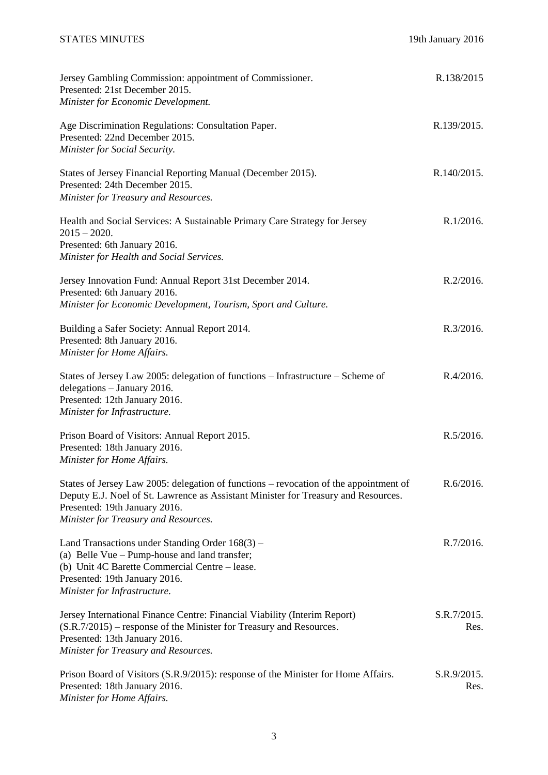| Jersey Gambling Commission: appointment of Commissioner.<br>Presented: 21st December 2015.<br>Minister for Economic Development.                                                                                                                     | R.138/2015          |
|------------------------------------------------------------------------------------------------------------------------------------------------------------------------------------------------------------------------------------------------------|---------------------|
| Age Discrimination Regulations: Consultation Paper.<br>Presented: 22nd December 2015.<br>Minister for Social Security.                                                                                                                               | R.139/2015.         |
| States of Jersey Financial Reporting Manual (December 2015).<br>Presented: 24th December 2015.<br>Minister for Treasury and Resources.                                                                                                               | R.140/2015.         |
| Health and Social Services: A Sustainable Primary Care Strategy for Jersey<br>$2015 - 2020.$<br>Presented: 6th January 2016.<br>Minister for Health and Social Services.                                                                             | R.1/2016.           |
| Jersey Innovation Fund: Annual Report 31st December 2014.<br>Presented: 6th January 2016.<br>Minister for Economic Development, Tourism, Sport and Culture.                                                                                          | R.2/2016.           |
| Building a Safer Society: Annual Report 2014.<br>Presented: 8th January 2016.<br>Minister for Home Affairs.                                                                                                                                          | R.3/2016.           |
| States of Jersey Law 2005: delegation of functions - Infrastructure - Scheme of<br>delegations - January 2016.<br>Presented: 12th January 2016.<br>Minister for Infrastructure.                                                                      | R.4/2016.           |
| Prison Board of Visitors: Annual Report 2015.<br>Presented: 18th January 2016.<br>Minister for Home Affairs.                                                                                                                                         | R.5/2016.           |
| States of Jersey Law 2005: delegation of functions – revocation of the appointment of<br>Deputy E.J. Noel of St. Lawrence as Assistant Minister for Treasury and Resources.<br>Presented: 19th January 2016.<br>Minister for Treasury and Resources. | R.6/2016.           |
| Land Transactions under Standing Order 168(3) –<br>(a) Belle Vue – Pump-house and land transfer;<br>(b) Unit 4C Barette Commercial Centre – lease.<br>Presented: 19th January 2016.<br>Minister for Infrastructure.                                  | R.7/2016.           |
| Jersey International Finance Centre: Financial Viability (Interim Report)<br>(S.R.7/2015) – response of the Minister for Treasury and Resources.<br>Presented: 13th January 2016.<br>Minister for Treasury and Resources.                            | S.R.7/2015.<br>Res. |
| Prison Board of Visitors (S.R.9/2015): response of the Minister for Home Affairs.<br>Presented: 18th January 2016.<br>Minister for Home Affairs.                                                                                                     | S.R.9/2015.<br>Res. |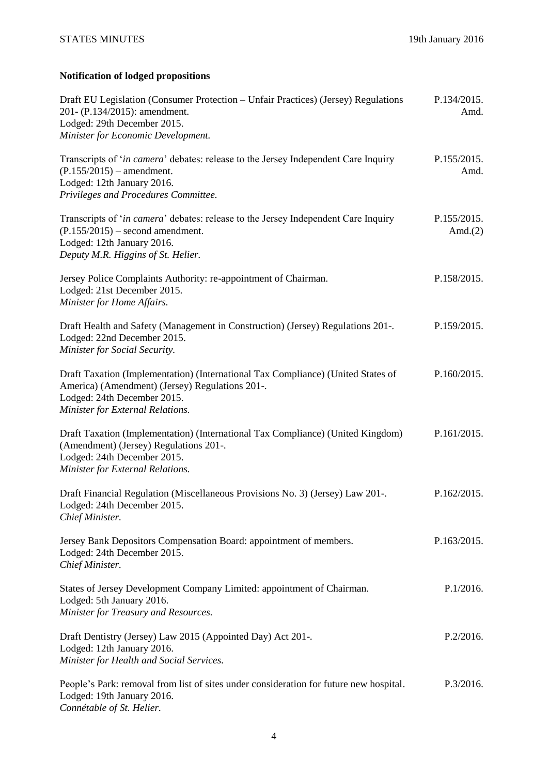# **Notification of lodged propositions**

| Draft EU Legislation (Consumer Protection – Unfair Practices) (Jersey) Regulations<br>201- (P.134/2015): amendment.<br>Lodged: 29th December 2015.<br>Minister for Economic Development.               | P.134/2015.<br>Amd.       |
|--------------------------------------------------------------------------------------------------------------------------------------------------------------------------------------------------------|---------------------------|
| Transcripts of 'in camera' debates: release to the Jersey Independent Care Inquiry<br>$(P.155/2015)$ – amendment.<br>Lodged: 12th January 2016.<br>Privileges and Procedures Committee.                | P.155/2015.<br>Amd.       |
| Transcripts of ' <i>in camera</i> ' debates: release to the Jersey Independent Care Inquiry<br>$(P.155/2015)$ – second amendment.<br>Lodged: 12th January 2016.<br>Deputy M.R. Higgins of St. Helier.  | P.155/2015.<br>Amd. $(2)$ |
| Jersey Police Complaints Authority: re-appointment of Chairman.<br>Lodged: 21st December 2015.<br>Minister for Home Affairs.                                                                           | P.158/2015.               |
| Draft Health and Safety (Management in Construction) (Jersey) Regulations 201-.<br>Lodged: 22nd December 2015.<br>Minister for Social Security.                                                        | P.159/2015.               |
| Draft Taxation (Implementation) (International Tax Compliance) (United States of<br>America) (Amendment) (Jersey) Regulations 201-.<br>Lodged: 24th December 2015.<br>Minister for External Relations. | P.160/2015.               |
| Draft Taxation (Implementation) (International Tax Compliance) (United Kingdom)<br>(Amendment) (Jersey) Regulations 201-.<br>Lodged: 24th December 2015.<br>Minister for External Relations.           | P.161/2015.               |
| Draft Financial Regulation (Miscellaneous Provisions No. 3) (Jersey) Law 201-.<br>Lodged: 24th December 2015.<br>Chief Minister.                                                                       | P.162/2015.               |
| Jersey Bank Depositors Compensation Board: appointment of members.<br>Lodged: 24th December 2015.<br>Chief Minister.                                                                                   | P.163/2015.               |
| States of Jersey Development Company Limited: appointment of Chairman.<br>Lodged: 5th January 2016.<br>Minister for Treasury and Resources.                                                            | P.1/2016.                 |
| Draft Dentistry (Jersey) Law 2015 (Appointed Day) Act 201-.<br>Lodged: 12th January 2016.<br>Minister for Health and Social Services.                                                                  | P.2/2016.                 |
| People's Park: removal from list of sites under consideration for future new hospital.<br>Lodged: 19th January 2016.<br>Connétable of St. Helier.                                                      | P.3/2016.                 |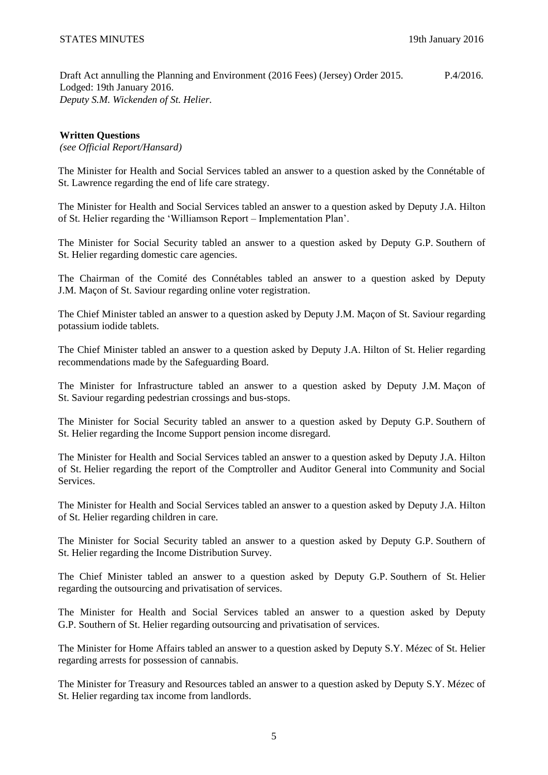Draft Act annulling the Planning and Environment (2016 Fees) (Jersey) Order 2015. Lodged: 19th January 2016. *Deputy S.M. Wickenden of St. Helier.* P.4/2016.

# **Written Questions**

*(see Official Report/Hansard)*

The Minister for Health and Social Services tabled an answer to a question asked by the Connétable of St. Lawrence regarding the end of life care strategy.

The Minister for Health and Social Services tabled an answer to a question asked by Deputy J.A. Hilton of St. Helier regarding the 'Williamson Report – Implementation Plan'.

The Minister for Social Security tabled an answer to a question asked by Deputy G.P. Southern of St. Helier regarding domestic care agencies.

The Chairman of the Comité des Connétables tabled an answer to a question asked by Deputy J.M. Maçon of St. Saviour regarding online voter registration.

The Chief Minister tabled an answer to a question asked by Deputy J.M. Maçon of St. Saviour regarding potassium iodide tablets.

The Chief Minister tabled an answer to a question asked by Deputy J.A. Hilton of St. Helier regarding recommendations made by the Safeguarding Board.

The Minister for Infrastructure tabled an answer to a question asked by Deputy J.M. Maçon of St. Saviour regarding pedestrian crossings and bus-stops.

The Minister for Social Security tabled an answer to a question asked by Deputy G.P. Southern of St. Helier regarding the Income Support pension income disregard.

The Minister for Health and Social Services tabled an answer to a question asked by Deputy J.A. Hilton of St. Helier regarding the report of the Comptroller and Auditor General into Community and Social Services.

The Minister for Health and Social Services tabled an answer to a question asked by Deputy J.A. Hilton of St. Helier regarding children in care.

The Minister for Social Security tabled an answer to a question asked by Deputy G.P. Southern of St. Helier regarding the Income Distribution Survey.

The Chief Minister tabled an answer to a question asked by Deputy G.P. Southern of St. Helier regarding the outsourcing and privatisation of services.

The Minister for Health and Social Services tabled an answer to a question asked by Deputy G.P. Southern of St. Helier regarding outsourcing and privatisation of services.

The Minister for Home Affairs tabled an answer to a question asked by Deputy S.Y. Mézec of St. Helier regarding arrests for possession of cannabis.

The Minister for Treasury and Resources tabled an answer to a question asked by Deputy S.Y. Mézec of St. Helier regarding tax income from landlords.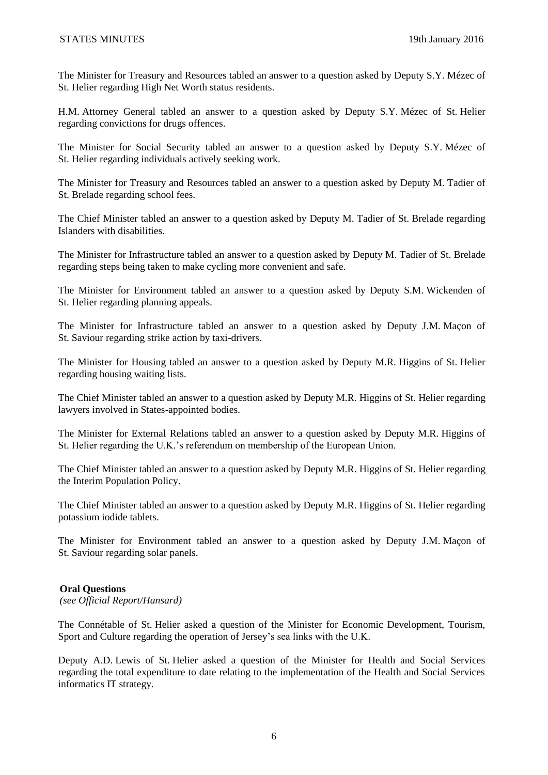The Minister for Treasury and Resources tabled an answer to a question asked by Deputy S.Y. Mézec of St. Helier regarding High Net Worth status residents.

H.M. Attorney General tabled an answer to a question asked by Deputy S.Y. Mézec of St. Helier regarding convictions for drugs offences.

The Minister for Social Security tabled an answer to a question asked by Deputy S.Y. Mézec of St. Helier regarding individuals actively seeking work.

The Minister for Treasury and Resources tabled an answer to a question asked by Deputy M. Tadier of St. Brelade regarding school fees.

The Chief Minister tabled an answer to a question asked by Deputy M. Tadier of St. Brelade regarding Islanders with disabilities.

The Minister for Infrastructure tabled an answer to a question asked by Deputy M. Tadier of St. Brelade regarding steps being taken to make cycling more convenient and safe.

The Minister for Environment tabled an answer to a question asked by Deputy S.M. Wickenden of St. Helier regarding planning appeals.

The Minister for Infrastructure tabled an answer to a question asked by Deputy J.M. Maçon of St. Saviour regarding strike action by taxi-drivers.

The Minister for Housing tabled an answer to a question asked by Deputy M.R. Higgins of St. Helier regarding housing waiting lists.

The Chief Minister tabled an answer to a question asked by Deputy M.R. Higgins of St. Helier regarding lawyers involved in States-appointed bodies.

The Minister for External Relations tabled an answer to a question asked by Deputy M.R. Higgins of St. Helier regarding the U.K.'s referendum on membership of the European Union.

The Chief Minister tabled an answer to a question asked by Deputy M.R. Higgins of St. Helier regarding the Interim Population Policy.

The Chief Minister tabled an answer to a question asked by Deputy M.R. Higgins of St. Helier regarding potassium iodide tablets.

The Minister for Environment tabled an answer to a question asked by Deputy J.M. Maçon of St. Saviour regarding solar panels.

### **Oral Questions**

*(see Official Report/Hansard)*

The Connétable of St. Helier asked a question of the Minister for Economic Development, Tourism, Sport and Culture regarding the operation of Jersey's sea links with the U.K.

Deputy A.D. Lewis of St. Helier asked a question of the Minister for Health and Social Services regarding the total expenditure to date relating to the implementation of the Health and Social Services informatics IT strategy.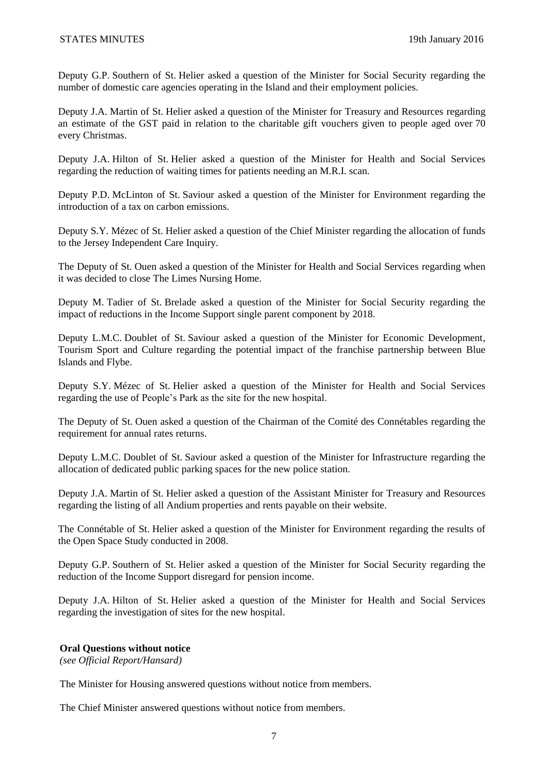Deputy G.P. Southern of St. Helier asked a question of the Minister for Social Security regarding the number of domestic care agencies operating in the Island and their employment policies.

Deputy J.A. Martin of St. Helier asked a question of the Minister for Treasury and Resources regarding an estimate of the GST paid in relation to the charitable gift vouchers given to people aged over 70 every Christmas.

Deputy J.A. Hilton of St. Helier asked a question of the Minister for Health and Social Services regarding the reduction of waiting times for patients needing an M.R.I. scan.

Deputy P.D. McLinton of St. Saviour asked a question of the Minister for Environment regarding the introduction of a tax on carbon emissions.

Deputy S.Y. Mézec of St. Helier asked a question of the Chief Minister regarding the allocation of funds to the Jersey Independent Care Inquiry.

The Deputy of St. Ouen asked a question of the Minister for Health and Social Services regarding when it was decided to close The Limes Nursing Home.

Deputy M. Tadier of St. Brelade asked a question of the Minister for Social Security regarding the impact of reductions in the Income Support single parent component by 2018.

Deputy L.M.C. Doublet of St. Saviour asked a question of the Minister for Economic Development, Tourism Sport and Culture regarding the potential impact of the franchise partnership between Blue Islands and Flybe.

Deputy S.Y. Mézec of St. Helier asked a question of the Minister for Health and Social Services regarding the use of People's Park as the site for the new hospital.

The Deputy of St. Ouen asked a question of the Chairman of the Comité des Connétables regarding the requirement for annual rates returns.

Deputy L.M.C. Doublet of St. Saviour asked a question of the Minister for Infrastructure regarding the allocation of dedicated public parking spaces for the new police station.

Deputy J.A. Martin of St. Helier asked a question of the Assistant Minister for Treasury and Resources regarding the listing of all Andium properties and rents payable on their website.

The Connétable of St. Helier asked a question of the Minister for Environment regarding the results of the Open Space Study conducted in 2008.

Deputy G.P. Southern of St. Helier asked a question of the Minister for Social Security regarding the reduction of the Income Support disregard for pension income.

Deputy J.A. Hilton of St. Helier asked a question of the Minister for Health and Social Services regarding the investigation of sites for the new hospital.

### **Oral Questions without notice**

*(see Official Report/Hansard)*

The Minister for Housing answered questions without notice from members.

The Chief Minister answered questions without notice from members.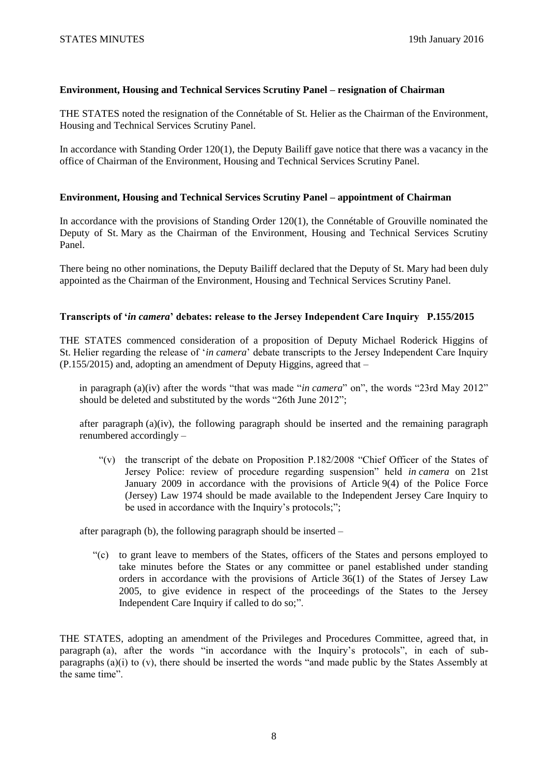# **Environment, Housing and Technical Services Scrutiny Panel – resignation of Chairman**

THE STATES noted the resignation of the Connétable of St. Helier as the Chairman of the Environment, Housing and Technical Services Scrutiny Panel.

In accordance with Standing Order 120(1), the Deputy Bailiff gave notice that there was a vacancy in the office of Chairman of the Environment, Housing and Technical Services Scrutiny Panel.

## **Environment, Housing and Technical Services Scrutiny Panel – appointment of Chairman**

In accordance with the provisions of Standing Order 120(1), the Connétable of Grouville nominated the Deputy of St. Mary as the Chairman of the Environment, Housing and Technical Services Scrutiny Panel.

There being no other nominations, the Deputy Bailiff declared that the Deputy of St. Mary had been duly appointed as the Chairman of the Environment, Housing and Technical Services Scrutiny Panel.

# **Transcripts of '***in camera***' debates: release to the Jersey Independent Care Inquiry P.155/2015**

THE STATES commenced consideration of a proposition of Deputy Michael Roderick Higgins of St. Helier regarding the release of '*in camera*' debate transcripts to the Jersey Independent Care Inquiry (P.155/2015) and, adopting an amendment of Deputy Higgins, agreed that –

in paragraph (a)(iv) after the words "that was made "*in camera*" on", the words "23rd May 2012" should be deleted and substituted by the words "26th June 2012";

after paragraph  $(a)(iv)$ , the following paragraph should be inserted and the remaining paragraph renumbered accordingly –

"(v) the transcript of the debate on Proposition P.182/2008 "Chief Officer of the States of Jersey Police: review of procedure regarding suspension" held *in camera* on 21st January 2009 in accordance with the provisions of Article 9(4) of the Police Force (Jersey) Law 1974 should be made available to the Independent Jersey Care Inquiry to be used in accordance with the Inquiry's protocols;";

after paragraph (b), the following paragraph should be inserted –

"(c) to grant leave to members of the States, officers of the States and persons employed to take minutes before the States or any committee or panel established under standing orders in accordance with the provisions of Article 36(1) of the States of Jersey Law 2005, to give evidence in respect of the proceedings of the States to the Jersey Independent Care Inquiry if called to do so;".

THE STATES, adopting an amendment of the Privileges and Procedures Committee, agreed that, in paragraph (a), after the words "in accordance with the Inquiry's protocols", in each of subparagraphs (a)(i) to (v), there should be inserted the words "and made public by the States Assembly at the same time".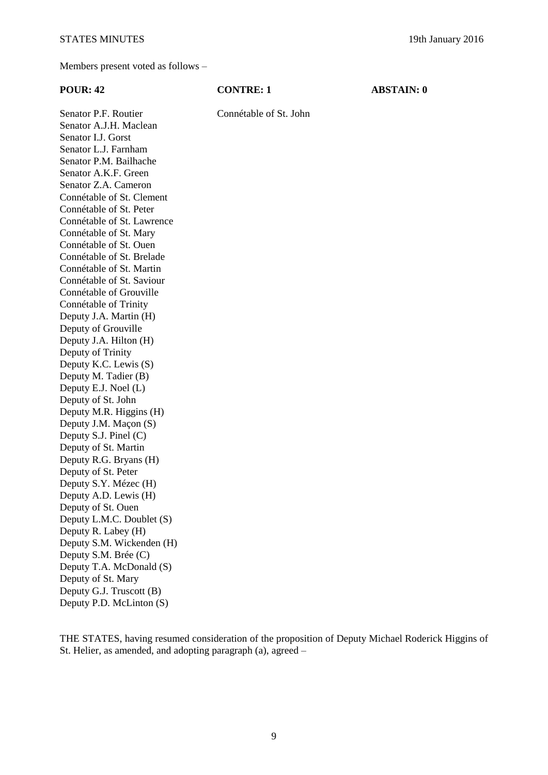Members present voted as follows –

| <b>POUR: 42</b>                                | <b>CONTRE: 1</b>       | <b>ABSTAIN: 0</b> |
|------------------------------------------------|------------------------|-------------------|
| Senator P.F. Routier<br>Senator A.J.H. Maclean | Connétable of St. John |                   |
| Senator I.J. Gorst                             |                        |                   |
| Senator L.J. Farnham                           |                        |                   |
| Senator P.M. Bailhache                         |                        |                   |
| Senator A.K.F. Green                           |                        |                   |
| Senator Z.A. Cameron                           |                        |                   |
| Connétable of St. Clement                      |                        |                   |
| Connétable of St. Peter                        |                        |                   |
| Connétable of St. Lawrence                     |                        |                   |
| Connétable of St. Mary                         |                        |                   |
| Connétable of St. Ouen                         |                        |                   |
| Connétable of St. Brelade                      |                        |                   |
| Connétable of St. Martin                       |                        |                   |
| Connétable of St. Saviour                      |                        |                   |
| Connétable of Grouville                        |                        |                   |
| Connétable of Trinity                          |                        |                   |
| Deputy J.A. Martin (H)                         |                        |                   |
| Deputy of Grouville                            |                        |                   |
| Deputy J.A. Hilton (H)                         |                        |                   |
| Deputy of Trinity                              |                        |                   |
| Deputy K.C. Lewis (S)                          |                        |                   |
| Deputy M. Tadier (B)                           |                        |                   |
| Deputy E.J. Noel (L)                           |                        |                   |
| Deputy of St. John                             |                        |                   |
| Deputy M.R. Higgins (H)                        |                        |                   |
| Deputy J.M. Maçon (S)                          |                        |                   |
| Deputy S.J. Pinel (C)                          |                        |                   |
| Deputy of St. Martin                           |                        |                   |
| Deputy R.G. Bryans (H)                         |                        |                   |
| Deputy of St. Peter                            |                        |                   |
| Deputy S.Y. Mézec (H)                          |                        |                   |
| Deputy A.D. Lewis (H)                          |                        |                   |
| Deputy of St. Ouen                             |                        |                   |
| Deputy L.M.C. Doublet (S)                      |                        |                   |
| Deputy R. Labey (H)                            |                        |                   |
| Deputy S.M. Wickenden (H)                      |                        |                   |
| Deputy S.M. Brée (C)                           |                        |                   |
| Deputy T.A. McDonald (S)                       |                        |                   |
| Deputy of St. Mary                             |                        |                   |
| Deputy G.J. Truscott (B)                       |                        |                   |
| Deputy P.D. McLinton (S)                       |                        |                   |
|                                                |                        |                   |

THE STATES, having resumed consideration of the proposition of Deputy Michael Roderick Higgins of St. Helier, as amended, and adopting paragraph (a), agreed –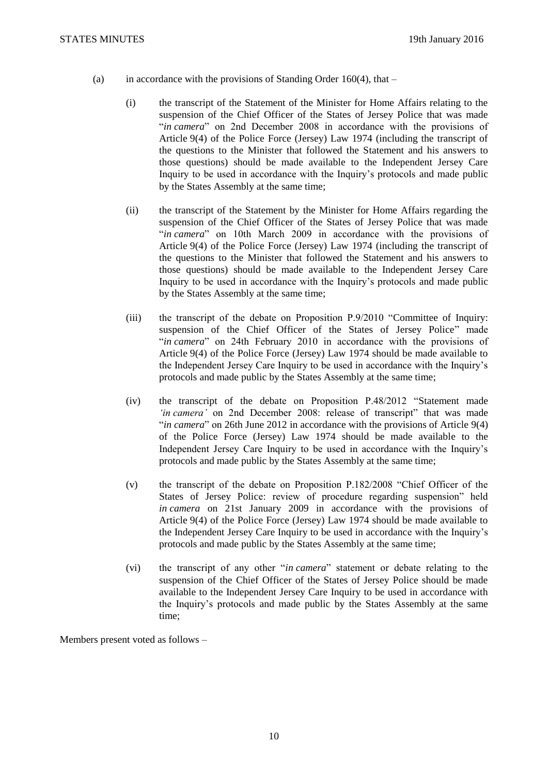- (a) in accordance with the provisions of Standing Order  $160(4)$ , that
	- (i) the transcript of the Statement of the Minister for Home Affairs relating to the suspension of the Chief Officer of the States of Jersey Police that was made "*in camera*" on 2nd December 2008 in accordance with the provisions of Article 9(4) of the Police Force (Jersey) Law 1974 (including the transcript of the questions to the Minister that followed the Statement and his answers to those questions) should be made available to the Independent Jersey Care Inquiry to be used in accordance with the Inquiry's protocols and made public by the States Assembly at the same time;
	- (ii) the transcript of the Statement by the Minister for Home Affairs regarding the suspension of the Chief Officer of the States of Jersey Police that was made "*in camera*" on 10th March 2009 in accordance with the provisions of Article 9(4) of the Police Force (Jersey) Law 1974 (including the transcript of the questions to the Minister that followed the Statement and his answers to those questions) should be made available to the Independent Jersey Care Inquiry to be used in accordance with the Inquiry's protocols and made public by the States Assembly at the same time;
	- (iii) the transcript of the debate on Proposition P.9/2010 "Committee of Inquiry: suspension of the Chief Officer of the States of Jersey Police" made "*in camera*" on 24th February 2010 in accordance with the provisions of Article 9(4) of the Police Force (Jersey) Law 1974 should be made available to the Independent Jersey Care Inquiry to be used in accordance with the Inquiry's protocols and made public by the States Assembly at the same time;
	- (iv) the transcript of the debate on Proposition P.48/2012 "Statement made *'in camera'* on 2nd December 2008: release of transcript" that was made "*in camera*" on 26th June 2012 in accordance with the provisions of Article 9(4) of the Police Force (Jersey) Law 1974 should be made available to the Independent Jersey Care Inquiry to be used in accordance with the Inquiry's protocols and made public by the States Assembly at the same time;
	- (v) the transcript of the debate on Proposition P.182/2008 "Chief Officer of the States of Jersey Police: review of procedure regarding suspension" held *in camera* on 21st January 2009 in accordance with the provisions of Article 9(4) of the Police Force (Jersey) Law 1974 should be made available to the Independent Jersey Care Inquiry to be used in accordance with the Inquiry's protocols and made public by the States Assembly at the same time;
	- (vi) the transcript of any other "*in camera*" statement or debate relating to the suspension of the Chief Officer of the States of Jersey Police should be made available to the Independent Jersey Care Inquiry to be used in accordance with the Inquiry's protocols and made public by the States Assembly at the same time;

Members present voted as follows –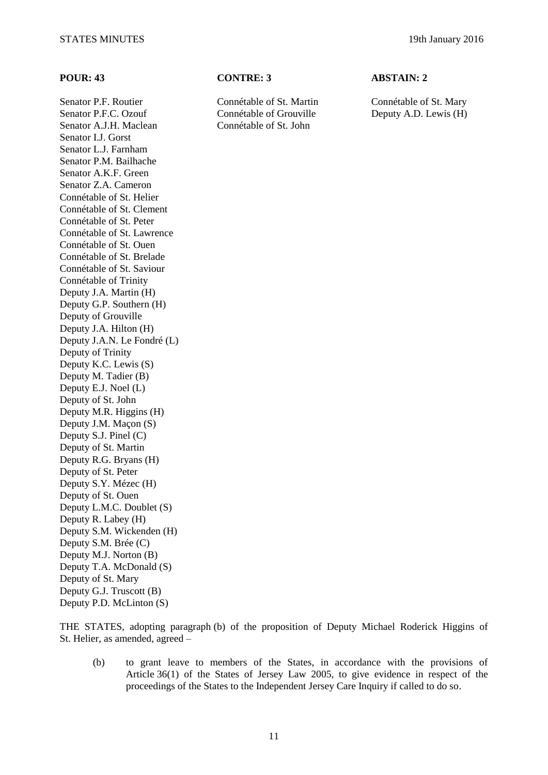Senator P.F.C. Ozouf Connétable of Grouville Deputy A.D. Lewis (H) Senator A.J.H. Maclean Connétable of St. John Senator I.J. Gorst Senator L.J. Farnham Senator P.M. Bailhache Senator A.K.F. Green Senator Z.A. Cameron Connétable of St. Helier Connétable of St. Clement Connétable of St. Peter Connétable of St. Lawrence Connétable of St. Ouen Connétable of St. Brelade Connétable of St. Saviour Connétable of Trinity Deputy J.A. Martin (H) Deputy G.P. Southern (H) Deputy of Grouville Deputy J.A. Hilton (H) Deputy J.A.N. Le Fondré (L) Deputy of Trinity Deputy K.C. Lewis (S) Deputy M. Tadier (B) Deputy E.J. Noel (L) Deputy of St. John Deputy M.R. Higgins (H) Deputy J.M. Maçon (S) Deputy S.J. Pinel (C) Deputy of St. Martin Deputy R.G. Bryans (H) Deputy of St. Peter Deputy S.Y. Mézec (H) Deputy of St. Ouen Deputy L.M.C. Doublet (S) Deputy R. Labey (H) Deputy S.M. Wickenden (H) Deputy S.M. Brée (C) Deputy M.J. Norton (B) Deputy T.A. McDonald (S) Deputy of St. Mary Deputy G.J. Truscott (B) Deputy P.D. McLinton (S)

### **POUR: 43 CONTRE: 3 ABSTAIN: 2**

Senator P.F. Routier Connétable of St. Martin Connétable of St. Mary

THE STATES, adopting paragraph (b) of the proposition of Deputy Michael Roderick Higgins of St. Helier, as amended, agreed –

(b) to grant leave to members of the States, in accordance with the provisions of Article 36(1) of the States of Jersey Law 2005, to give evidence in respect of the proceedings of the States to the Independent Jersey Care Inquiry if called to do so.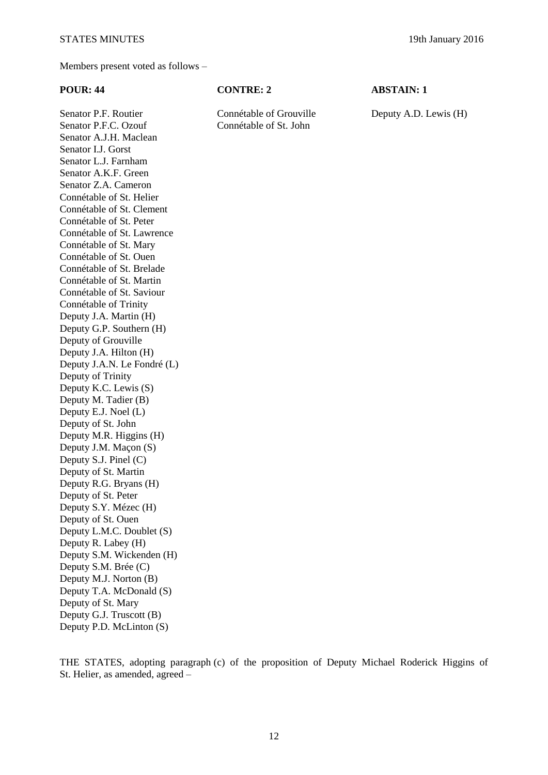Members present voted as follows –

Senator P.F. Routier Connétable of Grouville Deputy A.D. Lewis (H)

**POUR: 44 CONTRE: 2 ABSTAIN: 1**

Senator P.F.C. Ozouf Connétable of St. John Senator A.J.H. Maclean Senator I.J. Gorst Senator L.J. Farnham Senator A.K.F. Green Senator Z.A. Cameron Connétable of St. Helier Connétable of St. Clement Connétable of St. Peter Connétable of St. Lawrence Connétable of St. Mary Connétable of St. Ouen Connétable of St. Brelade Connétable of St. Martin Connétable of St. Saviour Connétable of Trinity Deputy J.A. Martin (H) Deputy G.P. Southern (H) Deputy of Grouville Deputy J.A. Hilton (H) Deputy J.A.N. Le Fondré (L) Deputy of Trinity Deputy K.C. Lewis (S) Deputy M. Tadier (B) Deputy E.J. Noel (L) Deputy of St. John Deputy M.R. Higgins (H) Deputy J.M. Maçon (S) Deputy S.J. Pinel (C) Deputy of St. Martin Deputy R.G. Bryans (H) Deputy of St. Peter Deputy S.Y. Mézec (H) Deputy of St. Ouen Deputy L.M.C. Doublet (S) Deputy R. Labey (H) Deputy S.M. Wickenden (H) Deputy S.M. Brée (C) Deputy M.J. Norton (B) Deputy T.A. McDonald (S) Deputy of St. Mary Deputy G.J. Truscott (B) Deputy P.D. McLinton (S)

THE STATES, adopting paragraph (c) of the proposition of Deputy Michael Roderick Higgins of St. Helier, as amended, agreed –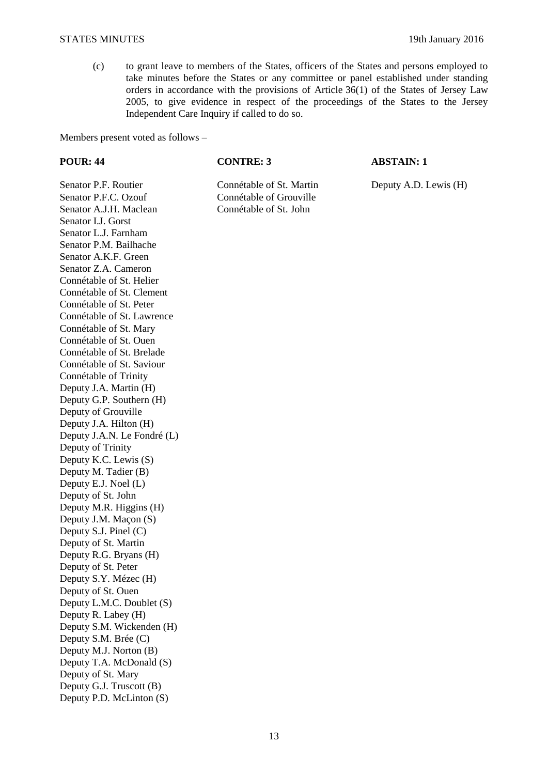### STATES MINUTES 19th January 2016

(c) to grant leave to members of the States, officers of the States and persons employed to take minutes before the States or any committee or panel established under standing orders in accordance with the provisions of Article 36(1) of the States of Jersey Law 2005, to give evidence in respect of the proceedings of the States to the Jersey Independent Care Inquiry if called to do so.

Members present voted as follows –

### **POUR: 44 CONTRE: 3 ABSTAIN: 1**

Connétable of Grouville

Senator P.F. Routier Connétable of St. Martin Deputy A.D. Lewis (H)<br>Senator P.F.C. Ozouf Connétable of Grouville Senator A.J.H. Maclean Connétable of St. John Senator I.J. Gorst Senator L.J. Farnham Senator P.M. Bailhache Senator A.K.F. Green Senator Z.A. Cameron Connétable of St. Helier Connétable of St. Clement Connétable of St. Peter Connétable of St. Lawrence Connétable of St. Mary Connétable of St. Ouen Connétable of St. Brelade Connétable of St. Saviour Connétable of Trinity Deputy J.A. Martin (H) Deputy G.P. Southern (H) Deputy of Grouville Deputy J.A. Hilton (H) Deputy J.A.N. Le Fondré (L) Deputy of Trinity Deputy K.C. Lewis (S) Deputy M. Tadier (B) Deputy E.J. Noel (L) Deputy of St. John Deputy M.R. Higgins (H) Deputy J.M. Maçon (S) Deputy S.J. Pinel (C) Deputy of St. Martin Deputy R.G. Bryans (H) Deputy of St. Peter Deputy S.Y. Mézec (H) Deputy of St. Ouen Deputy L.M.C. Doublet (S) Deputy R. Labey (H) Deputy S.M. Wickenden (H) Deputy S.M. Brée (C) Deputy M.J. Norton (B) Deputy T.A. McDonald (S) Deputy of St. Mary Deputy G.J. Truscott (B) Deputy P.D. McLinton (S)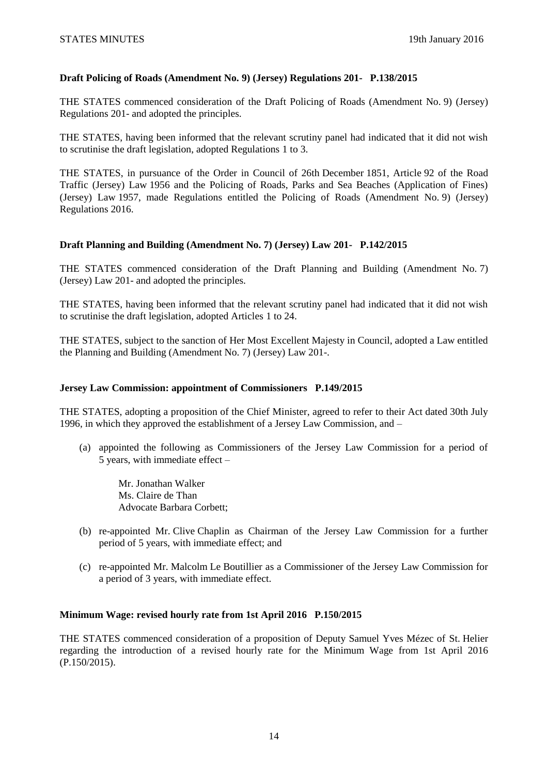# **[Draft Policing of Roads \(Amendment No.](http://www.statesassembly.gov.je/AssemblyPropositions/2015/P.138-2015.pdf) 9) (Jersey) Regulations 201- [P.138/2015](http://www.statesassembly.gov.je/AssemblyPropositions/2015/P.138-2015.pdf)**

THE STATES commenced consideration of the [Draft Policing of Roads \(Amendment No.](http://www.statesassembly.gov.je/AssemblyPropositions/2015/P.138-2015.pdf) 9) (Jersey) [Regulations](http://www.statesassembly.gov.je/AssemblyPropositions/2015/P.138-2015.pdf) 201- and adopted the principles.

THE STATES, having been informed that the relevant scrutiny panel had indicated that it did not wish to scrutinise the draft legislation, adopted Regulations 1 to 3.

THE STATES, in pursuance of the Order in Council of 26th December 1851, Article 92 of the Road Traffic (Jersey) Law 1956 and the Policing of Roads, Parks and Sea Beaches (Application of Fines) (Jersey) Law 1957, made Regulations entitled the Policing of Roads (Amendment No. 9) (Jersey) Regulations 2016.

# **[Draft Planning and Building \(Amendment No.](http://www.statesassembly.gov.je/AssemblyPropositions/2015/P.142-2015.pdf) 7) (Jersey) Law 201- [P.142/2015](http://www.statesassembly.gov.je/AssemblyPropositions/2015/P.142-2015.pdf)**

THE STATES commenced consideration of the [Draft Planning and Building \(Amendment No.](http://www.statesassembly.gov.je/AssemblyPropositions/2015/P.142-2015.pdf) 7) [\(Jersey\) Law 201-](http://www.statesassembly.gov.je/AssemblyPropositions/2015/P.142-2015.pdf) and adopted the principles.

THE STATES, having been informed that the relevant scrutiny panel had indicated that it did not wish to scrutinise the draft legislation, adopted Articles 1 to 24.

THE STATES, subject to the sanction of Her Most Excellent Majesty in Council, adopted a Law entitled the Planning and Building (Amendment No. 7) (Jersey) Law 201-.

### **[Jersey Law Commission: appointment of Commissioners P.149/2015](http://www.statesassembly.gov.je/AssemblyPropositions/2015/P.149-2015.pdf)**

THE STATES, adopting a proposition of the Chief Minister, agreed to refer to their Act dated 30th July 1996, in which they approved the establishment of a Jersey Law Commission, and –

(a) appointed the following as Commissioners of the Jersey Law Commission for a period of 5 years, with immediate effect –

Mr. Jonathan Walker Ms. Claire de Than Advocate Barbara Corbett;

- (b) re-appointed Mr. Clive Chaplin as Chairman of the Jersey Law Commission for a further period of 5 years, with immediate effect; and
- (c) re-appointed Mr. Malcolm Le Boutillier as a Commissioner of the Jersey Law Commission for a period of 3 years, with immediate effect.

### **Minimum Wage: revised hourly rate from 1st April 2016 P.150/2015**

THE STATES commenced consideration of a proposition of Deputy Samuel Yves Mézec of St. Helier regarding the introduction of a revised hourly rate for the Minimum Wage from 1st April 2016 (P.150/2015).